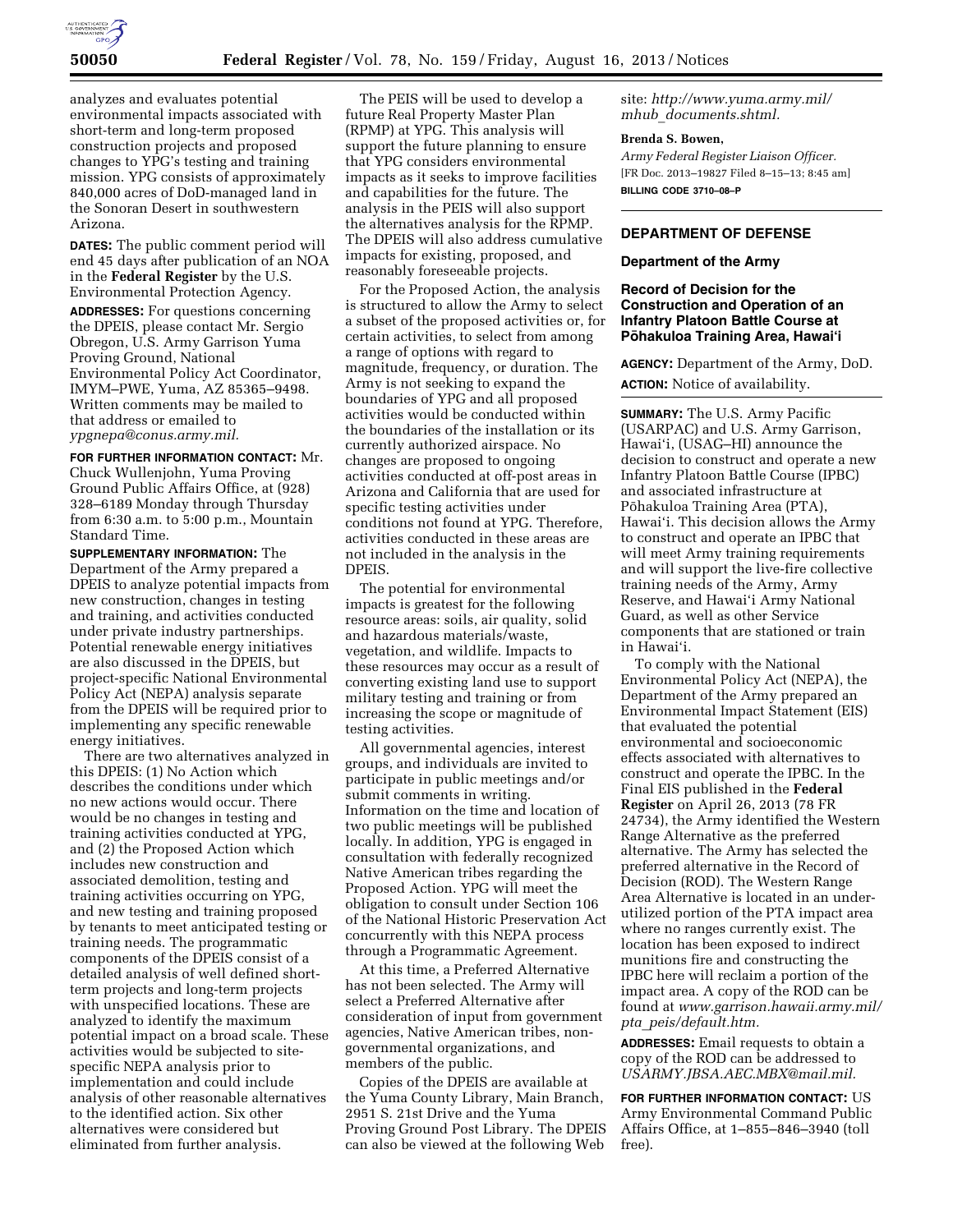

analyzes and evaluates potential environmental impacts associated with short-term and long-term proposed construction projects and proposed changes to YPG's testing and training mission. YPG consists of approximately 840,000 acres of DoD-managed land in the Sonoran Desert in southwestern Arizona.

**DATES:** The public comment period will end 45 days after publication of an NOA in the **Federal Register** by the U.S. Environmental Protection Agency.

**ADDRESSES:** For questions concerning the DPEIS, please contact Mr. Sergio Obregon, U.S. Army Garrison Yuma Proving Ground, National Environmental Policy Act Coordinator, IMYM–PWE, Yuma, AZ 85365–9498. Written comments may be mailed to that address or emailed to *[ypgnepa@conus.army.mil.](mailto:ypgnepa@conus.army.mil)* 

**FOR FURTHER INFORMATION CONTACT:** Mr. Chuck Wullenjohn, Yuma Proving Ground Public Affairs Office, at (928) 328–6189 Monday through Thursday from 6:30 a.m. to 5:00 p.m., Mountain Standard Time.

**SUPPLEMENTARY INFORMATION:** The Department of the Army prepared a DPEIS to analyze potential impacts from new construction, changes in testing and training, and activities conducted under private industry partnerships. Potential renewable energy initiatives are also discussed in the DPEIS, but project-specific National Environmental Policy Act (NEPA) analysis separate from the DPEIS will be required prior to implementing any specific renewable energy initiatives.

There are two alternatives analyzed in this DPEIS: (1) No Action which describes the conditions under which no new actions would occur. There would be no changes in testing and training activities conducted at YPG, and (2) the Proposed Action which includes new construction and associated demolition, testing and training activities occurring on YPG, and new testing and training proposed by tenants to meet anticipated testing or training needs. The programmatic components of the DPEIS consist of a detailed analysis of well defined shortterm projects and long-term projects with unspecified locations. These are analyzed to identify the maximum potential impact on a broad scale. These activities would be subjected to sitespecific NEPA analysis prior to implementation and could include analysis of other reasonable alternatives to the identified action. Six other alternatives were considered but eliminated from further analysis.

The PEIS will be used to develop a future Real Property Master Plan (RPMP) at YPG. This analysis will support the future planning to ensure that YPG considers environmental impacts as it seeks to improve facilities and capabilities for the future. The analysis in the PEIS will also support the alternatives analysis for the RPMP. The DPEIS will also address cumulative impacts for existing, proposed, and reasonably foreseeable projects.

For the Proposed Action, the analysis is structured to allow the Army to select a subset of the proposed activities or, for certain activities, to select from among a range of options with regard to magnitude, frequency, or duration. The Army is not seeking to expand the boundaries of YPG and all proposed activities would be conducted within the boundaries of the installation or its currently authorized airspace. No changes are proposed to ongoing activities conducted at off-post areas in Arizona and California that are used for specific testing activities under conditions not found at YPG. Therefore, activities conducted in these areas are not included in the analysis in the DPEIS.

The potential for environmental impacts is greatest for the following resource areas: soils, air quality, solid and hazardous materials/waste, vegetation, and wildlife. Impacts to these resources may occur as a result of converting existing land use to support military testing and training or from increasing the scope or magnitude of testing activities.

All governmental agencies, interest groups, and individuals are invited to participate in public meetings and/or submit comments in writing. Information on the time and location of two public meetings will be published locally. In addition, YPG is engaged in consultation with federally recognized Native American tribes regarding the Proposed Action. YPG will meet the obligation to consult under Section 106 of the National Historic Preservation Act concurrently with this NEPA process through a Programmatic Agreement.

At this time, a Preferred Alternative has not been selected. The Army will select a Preferred Alternative after consideration of input from government agencies, Native American tribes, nongovernmental organizations, and members of the public.

Copies of the DPEIS are available at the Yuma County Library, Main Branch, 2951 S. 21st Drive and the Yuma Proving Ground Post Library. The DPEIS can also be viewed at the following Web

site: *[http://www.yuma.army.mil/](http://www.yuma.army.mil/mhub_documents.shtml) mhub*\_*[documents.shtml.](http://www.yuma.army.mil/mhub_documents.shtml)* 

## **Brenda S. Bowen,**

*Army Federal Register Liaison Officer.*  [FR Doc. 2013–19827 Filed 8–15–13; 8:45 am] **BILLING CODE 3710–08–P** 

# **DEPARTMENT OF DEFENSE**

#### **Department of the Army**

### **Record of Decision for the Construction and Operation of an Infantry Platoon Battle Course at Pōhakuloa Training Area, Hawai'i**

**AGENCY:** Department of the Army, DoD. **ACTION:** Notice of availability.

**SUMMARY:** The U.S. Army Pacific (USARPAC) and U.S. Army Garrison, Hawai'i, (USAG–HI) announce the decision to construct and operate a new Infantry Platoon Battle Course (IPBC) and associated infrastructure at Pōhakuloa Training Area (PTA), Hawai'i. This decision allows the Army to construct and operate an IPBC that will meet Army training requirements and will support the live-fire collective training needs of the Army, Army Reserve, and Hawai'i Army National Guard, as well as other Service components that are stationed or train in Hawai'i.

To comply with the National Environmental Policy Act (NEPA), the Department of the Army prepared an Environmental Impact Statement (EIS) that evaluated the potential environmental and socioeconomic effects associated with alternatives to construct and operate the IPBC. In the Final EIS published in the **Federal Register** on April 26, 2013 (78 FR 24734), the Army identified the Western Range Alternative as the preferred alternative. The Army has selected the preferred alternative in the Record of Decision (ROD). The Western Range Area Alternative is located in an underutilized portion of the PTA impact area where no ranges currently exist. The location has been exposed to indirect munitions fire and constructing the IPBC here will reclaim a portion of the impact area. A copy of the ROD can be found at *[www.garrison.hawaii.army.mil/](http://www.garrison.hawaii.army.mil/pta_peis/default.htm)  pta*\_*[peis/default.htm.](http://www.garrison.hawaii.army.mil/pta_peis/default.htm)* 

**ADDRESSES:** Email requests to obtain a copy of the ROD can be addressed to *[USARMY.JBSA.AEC.MBX@mail.mil.](mailto:USARMY.JBSA.AEC.MBX@mail.mil)* 

**FOR FURTHER INFORMATION CONTACT:** US Army Environmental Command Public Affairs Office, at 1–855–846–3940 (toll free).